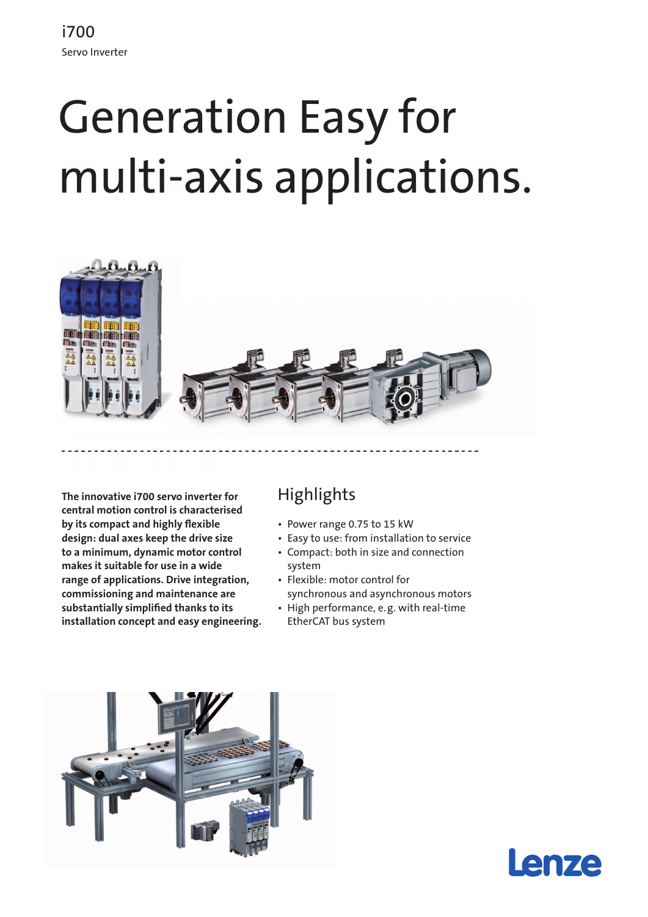# Generation Easy for multi-axis applications.



**The innovative i700 servo inverter for central motion control is characterised by its compact and highly flexible design: dual axes keep the drive size to a minimum, dynamic motor control makes it suitable for use in a wide range of applications. Drive integration, commissioning and maintenance are substantially simplified thanks to its installation concept and easy engineering.**

## **Highlights**

- • Power range 0.75 to 15 kW
- • Easy to use: from installation to service
- • Compact: both in size and connection system
- • Flexible: motor control for synchronous and asynchronous motors
- • High performance, e.g. with real-time EtherCAT bus system